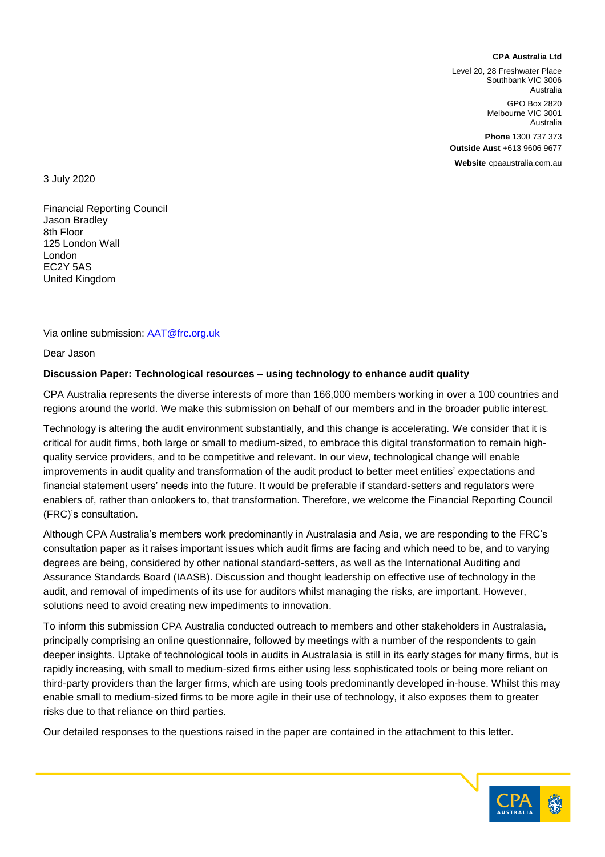#### **CPA Australia Ltd**

Level 20, 28 Freshwater Place Southbank VIC 3006 Australia

> GPO Box 2820 Melbourne VIC 3001 Australia

**Phone** 1300 737 373 **Outside Aust** +613 9606 9677

**Website** cpaaustralia.com.au

3 July 2020

Financial Reporting Council Jason Bradley 8th Floor 125 London Wall London EC2Y 5AS United Kingdom

Via online submission: **AAT@frc.org.uk** 

Dear Jason

#### **Discussion Paper: Technological resources – using technology to enhance audit quality**

CPA Australia represents the diverse interests of more than 166,000 members working in over a 100 countries and regions around the world. We make this submission on behalf of our members and in the broader public interest.

Technology is altering the audit environment substantially, and this change is accelerating. We consider that it is critical for audit firms, both large or small to medium-sized, to embrace this digital transformation to remain highquality service providers, and to be competitive and relevant. In our view, technological change will enable improvements in audit quality and transformation of the audit product to better meet entities' expectations and financial statement users' needs into the future. It would be preferable if standard-setters and regulators were enablers of, rather than onlookers to, that transformation. Therefore, we welcome the Financial Reporting Council (FRC)'s consultation.

Although CPA Australia's members work predominantly in Australasia and Asia, we are responding to the FRC's consultation paper as it raises important issues which audit firms are facing and which need to be, and to varying degrees are being, considered by other national standard-setters, as well as the International Auditing and Assurance Standards Board (IAASB). Discussion and thought leadership on effective use of technology in the audit, and removal of impediments of its use for auditors whilst managing the risks, are important. However, solutions need to avoid creating new impediments to innovation.

To inform this submission CPA Australia conducted outreach to members and other stakeholders in Australasia, principally comprising an online questionnaire, followed by meetings with a number of the respondents to gain deeper insights. Uptake of technological tools in audits in Australasia is still in its early stages for many firms, but is rapidly increasing, with small to medium-sized firms either using less sophisticated tools or being more reliant on third-party providers than the larger firms, which are using tools predominantly developed in-house. Whilst this may enable small to medium-sized firms to be more agile in their use of technology, it also exposes them to greater risks due to that reliance on third parties.

Our detailed responses to the questions raised in the paper are contained in the attachment to this letter.

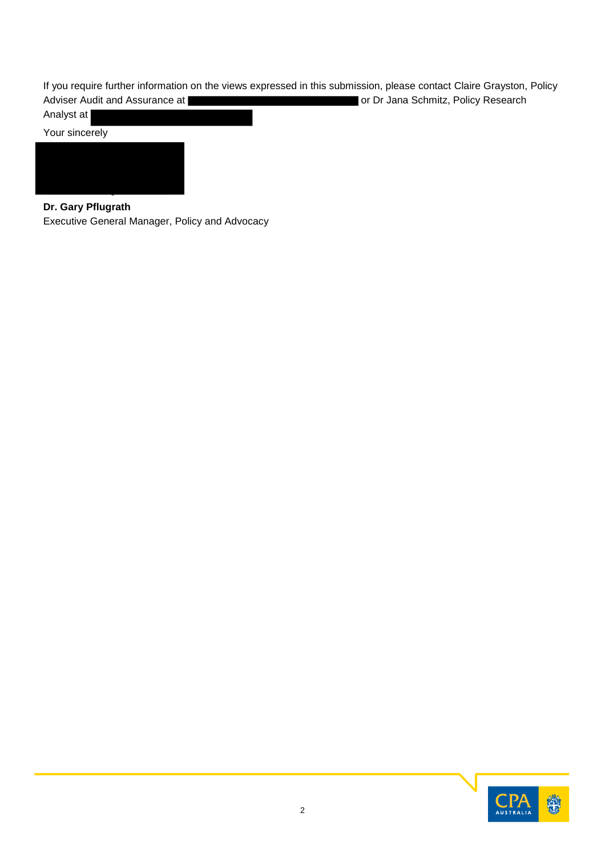If you require further information on the views expressed in this submission, please contact Claire Grayston, Policy Adviser Audit and Assurance at **or Dr Jana Schmitz, Policy Research** or Dr Jana Schmitz, Policy Research

Analyst at



# **Dr. Gary Pflugrath**

Executive General Manager, Policy and Advocacy

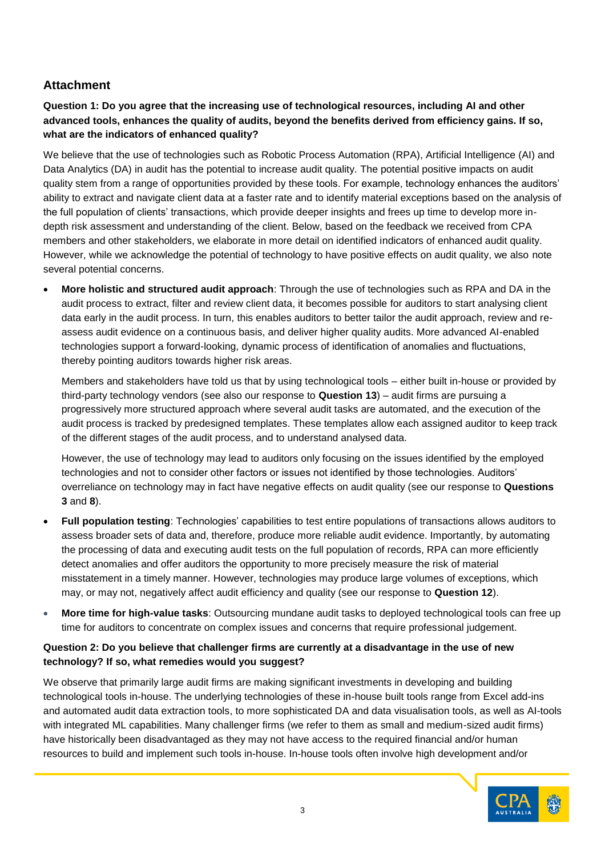# **Attachment**

# **Question 1: Do you agree that the increasing use of technological resources, including AI and other advanced tools, enhances the quality of audits, beyond the benefits derived from efficiency gains. If so, what are the indicators of enhanced quality?**

We believe that the use of technologies such as Robotic Process Automation (RPA), Artificial Intelligence (AI) and Data Analytics (DA) in audit has the potential to increase audit quality. The potential positive impacts on audit quality stem from a range of opportunities provided by these tools. For example, technology enhances the auditors' ability to extract and navigate client data at a faster rate and to identify material exceptions based on the analysis of the full population of clients' transactions, which provide deeper insights and frees up time to develop more indepth risk assessment and understanding of the client. Below, based on the feedback we received from CPA members and other stakeholders, we elaborate in more detail on identified indicators of enhanced audit quality. However, while we acknowledge the potential of technology to have positive effects on audit quality, we also note several potential concerns.

• **More holistic and structured audit approach**: Through the use of technologies such as RPA and DA in the audit process to extract, filter and review client data, it becomes possible for auditors to start analysing client data early in the audit process. In turn, this enables auditors to better tailor the audit approach, review and reassess audit evidence on a continuous basis, and deliver higher quality audits. More advanced AI-enabled technologies support a forward-looking, dynamic process of identification of anomalies and fluctuations, thereby pointing auditors towards higher risk areas.

Members and stakeholders have told us that by using technological tools – either built in-house or provided by third-party technology vendors (see also our response to **Question 13**) – audit firms are pursuing a progressively more structured approach where several audit tasks are automated, and the execution of the audit process is tracked by predesigned templates. These templates allow each assigned auditor to keep track of the different stages of the audit process, and to understand analysed data.

However, the use of technology may lead to auditors only focusing on the issues identified by the employed technologies and not to consider other factors or issues not identified by those technologies. Auditors' overreliance on technology may in fact have negative effects on audit quality (see our response to **Questions 3** and **8**).

- **Full population testing**: Technologies' capabilities to test entire populations of transactions allows auditors to assess broader sets of data and, therefore, produce more reliable audit evidence. Importantly, by automating the processing of data and executing audit tests on the full population of records, RPA can more efficiently detect anomalies and offer auditors the opportunity to more precisely measure the risk of material misstatement in a timely manner. However, technologies may produce large volumes of exceptions, which may, or may not, negatively affect audit efficiency and quality (see our response to **Question 12**).
- **More time for high-value tasks**: Outsourcing mundane audit tasks to deployed technological tools can free up time for auditors to concentrate on complex issues and concerns that require professional judgement.

# **Question 2: Do you believe that challenger firms are currently at a disadvantage in the use of new technology? If so, what remedies would you suggest?**

We observe that primarily large audit firms are making significant investments in developing and building technological tools in-house. The underlying technologies of these in-house built tools range from Excel add-ins and automated audit data extraction tools, to more sophisticated DA and data visualisation tools, as well as AI-tools with integrated ML capabilities. Many challenger firms (we refer to them as small and medium-sized audit firms) have historically been disadvantaged as they may not have access to the required financial and/or human resources to build and implement such tools in-house. In-house tools often involve high development and/or

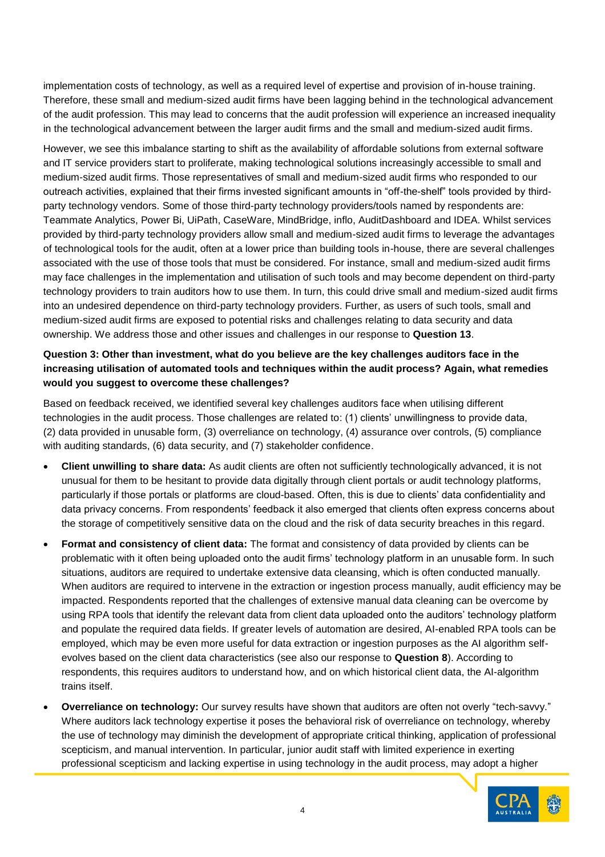implementation costs of technology, as well as a required level of expertise and provision of in-house training. Therefore, these small and medium-sized audit firms have been lagging behind in the technological advancement of the audit profession. This may lead to concerns that the audit profession will experience an increased inequality in the technological advancement between the larger audit firms and the small and medium-sized audit firms.

However, we see this imbalance starting to shift as the availability of affordable solutions from external software and IT service providers start to proliferate, making technological solutions increasingly accessible to small and medium-sized audit firms. Those representatives of small and medium-sized audit firms who responded to our outreach activities, explained that their firms invested significant amounts in "off-the-shelf" tools provided by thirdparty technology vendors. Some of those third-party technology providers/tools named by respondents are: Teammate Analytics, Power Bi, UiPath, CaseWare, MindBridge, inflo, AuditDashboard and IDEA. Whilst services provided by third-party technology providers allow small and medium-sized audit firms to leverage the advantages of technological tools for the audit, often at a lower price than building tools in-house, there are several challenges associated with the use of those tools that must be considered. For instance, small and medium-sized audit firms may face challenges in the implementation and utilisation of such tools and may become dependent on third-party technology providers to train auditors how to use them. In turn, this could drive small and medium-sized audit firms into an undesired dependence on third-party technology providers. Further, as users of such tools, small and medium-sized audit firms are exposed to potential risks and challenges relating to data security and data ownership. We address those and other issues and challenges in our response to **Question 13**.

# **Question 3: Other than investment, what do you believe are the key challenges auditors face in the increasing utilisation of automated tools and techniques within the audit process? Again, what remedies would you suggest to overcome these challenges?**

Based on feedback received, we identified several key challenges auditors face when utilising different technologies in the audit process. Those challenges are related to: (1) clients' unwillingness to provide data, (2) data provided in unusable form, (3) overreliance on technology, (4) assurance over controls, (5) compliance with auditing standards, (6) data security, and (7) stakeholder confidence.

- **Client unwilling to share data:** As audit clients are often not sufficiently technologically advanced, it is not unusual for them to be hesitant to provide data digitally through client portals or audit technology platforms, particularly if those portals or platforms are cloud-based. Often, this is due to clients' data confidentiality and data privacy concerns. From respondents' feedback it also emerged that clients often express concerns about the storage of competitively sensitive data on the cloud and the risk of data security breaches in this regard.
- **Format and consistency of client data:** The format and consistency of data provided by clients can be problematic with it often being uploaded onto the audit firms' technology platform in an unusable form. In such situations, auditors are required to undertake extensive data cleansing, which is often conducted manually. When auditors are required to intervene in the extraction or ingestion process manually, audit efficiency may be impacted. Respondents reported that the challenges of extensive manual data cleaning can be overcome by using RPA tools that identify the relevant data from client data uploaded onto the auditors' technology platform and populate the required data fields. If greater levels of automation are desired, AI-enabled RPA tools can be employed, which may be even more useful for data extraction or ingestion purposes as the AI algorithm selfevolves based on the client data characteristics (see also our response to **Question 8**). According to respondents, this requires auditors to understand how, and on which historical client data, the AI-algorithm trains itself.
- **Overreliance on technology:** Our survey results have shown that auditors are often not overly "tech-savvy." Where auditors lack technology expertise it poses the behavioral risk of overreliance on technology, whereby the use of technology may diminish the development of appropriate critical thinking, application of professional scepticism, and manual intervention. In particular, junior audit staff with limited experience in exerting professional scepticism and lacking expertise in using technology in the audit process, may adopt a higher

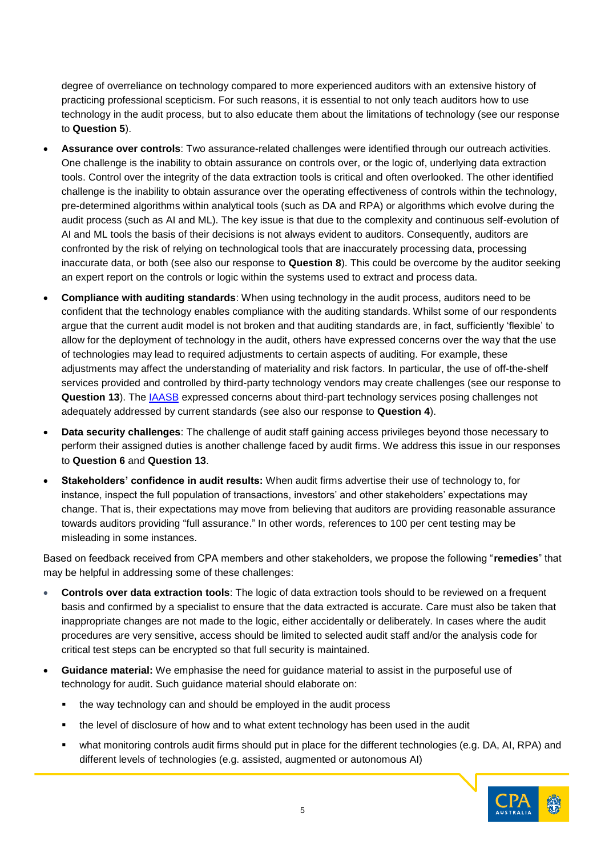degree of overreliance on technology compared to more experienced auditors with an extensive history of practicing professional scepticism. For such reasons, it is essential to not only teach auditors how to use technology in the audit process, but to also educate them about the limitations of technology (see our response to **Question 5**).

- **Assurance over controls**: Two assurance-related challenges were identified through our outreach activities. One challenge is the inability to obtain assurance on controls over, or the logic of, underlying data extraction tools. Control over the integrity of the data extraction tools is critical and often overlooked. The other identified challenge is the inability to obtain assurance over the operating effectiveness of controls within the technology, pre-determined algorithms within analytical tools (such as DA and RPA) or algorithms which evolve during the audit process (such as AI and ML). The key issue is that due to the complexity and continuous self-evolution of AI and ML tools the basis of their decisions is not always evident to auditors. Consequently, auditors are confronted by the risk of relying on technological tools that are inaccurately processing data, processing inaccurate data, or both (see also our response to **Question 8**). This could be overcome by the auditor seeking an expert report on the controls or logic within the systems used to extract and process data.
- **Compliance with auditing standards**: When using technology in the audit process, auditors need to be confident that the technology enables compliance with the auditing standards. Whilst some of our respondents argue that the current audit model is not broken and that auditing standards are, in fact, sufficiently 'flexible' to allow for the deployment of technology in the audit, others have expressed concerns over the way that the use of technologies may lead to required adjustments to certain aspects of auditing. For example, these adjustments may affect the understanding of materiality and risk factors. In particular, the use of off-the-shelf services provided and controlled by third-party technology vendors may create challenges (see our response to **Question 13**). The [IAASB](https://incp.org.co/Site/publicaciones/info/archivos/Data-Analytics-Feedback-Statement16012018.pdf) expressed concerns about third-part technology services posing challenges not adequately addressed by current standards (see also our response to **Question 4**).
- **Data security challenges**: The challenge of audit staff gaining access privileges beyond those necessary to perform their assigned duties is another challenge faced by audit firms. We address this issue in our responses to **Question 6** and **Question 13**.
- **Stakeholders' confidence in audit results:** When audit firms advertise their use of technology to, for instance, inspect the full population of transactions, investors' and other stakeholders' expectations may change. That is, their expectations may move from believing that auditors are providing reasonable assurance towards auditors providing "full assurance." In other words, references to 100 per cent testing may be misleading in some instances.

Based on feedback received from CPA members and other stakeholders, we propose the following "**remedies**" that may be helpful in addressing some of these challenges:

- **Controls over data extraction tools**: The logic of data extraction tools should to be reviewed on a frequent basis and confirmed by a specialist to ensure that the data extracted is accurate. Care must also be taken that inappropriate changes are not made to the logic, either accidentally or deliberately. In cases where the audit procedures are very sensitive, access should be limited to selected audit staff and/or the analysis code for critical test steps can be encrypted so that full security is maintained.
- **Guidance material:** We emphasise the need for guidance material to assist in the purposeful use of technology for audit. Such guidance material should elaborate on:
	- the way technology can and should be employed in the audit process
	- the level of disclosure of how and to what extent technology has been used in the audit
	- what monitoring controls audit firms should put in place for the different technologies (e.g. DA, AI, RPA) and different levels of technologies (e.g. assisted, augmented or autonomous AI)

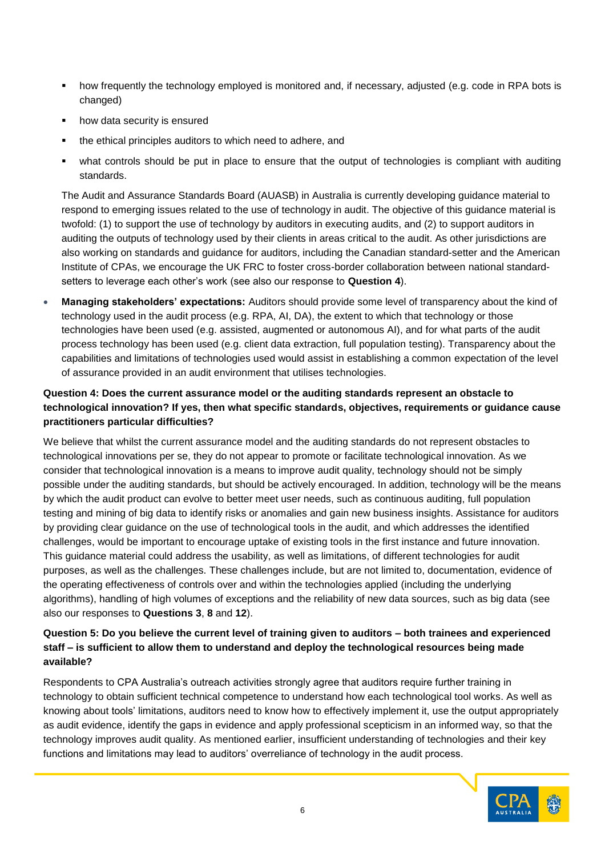- how frequently the technology employed is monitored and, if necessary, adjusted (e.g. code in RPA bots is changed)
- how data security is ensured
- the ethical principles auditors to which need to adhere, and
- what controls should be put in place to ensure that the output of technologies is compliant with auditing standards.

The Audit and Assurance Standards Board (AUASB) in Australia is currently developing guidance material to respond to emerging issues related to the use of technology in audit. The objective of this guidance material is twofold: (1) to support the use of technology by auditors in executing audits, and (2) to support auditors in auditing the outputs of technology used by their clients in areas critical to the audit. As other jurisdictions are also working on standards and guidance for auditors, including the Canadian standard-setter and the American Institute of CPAs, we encourage the UK FRC to foster cross-border collaboration between national standardsetters to leverage each other's work (see also our response to **Question 4**).

• **Managing stakeholders' expectations:** Auditors should provide some level of transparency about the kind of technology used in the audit process (e.g. RPA, AI, DA), the extent to which that technology or those technologies have been used (e.g. assisted, augmented or autonomous AI), and for what parts of the audit process technology has been used (e.g. client data extraction, full population testing). Transparency about the capabilities and limitations of technologies used would assist in establishing a common expectation of the level of assurance provided in an audit environment that utilises technologies.

# **Question 4: Does the current assurance model or the auditing standards represent an obstacle to technological innovation? If yes, then what specific standards, objectives, requirements or guidance cause practitioners particular difficulties?**

We believe that whilst the current assurance model and the auditing standards do not represent obstacles to technological innovations per se, they do not appear to promote or facilitate technological innovation. As we consider that technological innovation is a means to improve audit quality, technology should not be simply possible under the auditing standards, but should be actively encouraged. In addition, technology will be the means by which the audit product can evolve to better meet user needs, such as continuous auditing, full population testing and mining of big data to identify risks or anomalies and gain new business insights. Assistance for auditors by providing clear guidance on the use of technological tools in the audit, and which addresses the identified challenges, would be important to encourage uptake of existing tools in the first instance and future innovation. This guidance material could address the usability, as well as limitations, of different technologies for audit purposes, as well as the challenges. These challenges include, but are not limited to, documentation, evidence of the operating effectiveness of controls over and within the technologies applied (including the underlying algorithms), handling of high volumes of exceptions and the reliability of new data sources, such as big data (see also our responses to **Questions 3**, **8** and **12**).

### **Question 5: Do you believe the current level of training given to auditors – both trainees and experienced staff – is sufficient to allow them to understand and deploy the technological resources being made available?**

Respondents to CPA Australia's outreach activities strongly agree that auditors require further training in technology to obtain sufficient technical competence to understand how each technological tool works. As well as knowing about tools' limitations, auditors need to know how to effectively implement it, use the output appropriately as audit evidence, identify the gaps in evidence and apply professional scepticism in an informed way, so that the technology improves audit quality. As mentioned earlier, insufficient understanding of technologies and their key functions and limitations may lead to auditors' overreliance of technology in the audit process.

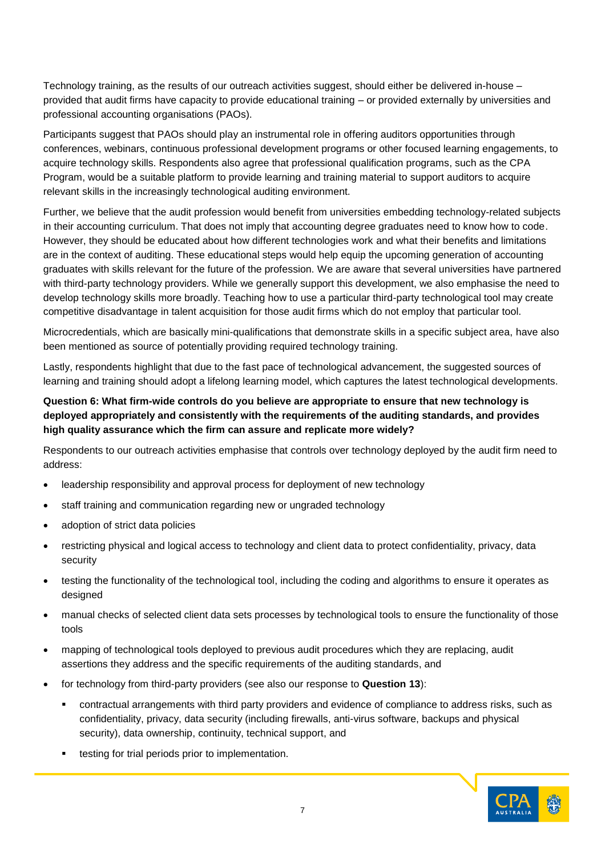Technology training, as the results of our outreach activities suggest, should either be delivered in-house – provided that audit firms have capacity to provide educational training – or provided externally by universities and professional accounting organisations (PAOs).

Participants suggest that PAOs should play an instrumental role in offering auditors opportunities through conferences, webinars, continuous professional development programs or other focused learning engagements, to acquire technology skills. Respondents also agree that professional qualification programs, such as the CPA Program, would be a suitable platform to provide learning and training material to support auditors to acquire relevant skills in the increasingly technological auditing environment.

Further, we believe that the audit profession would benefit from universities embedding technology-related subjects in their accounting curriculum. That does not imply that accounting degree graduates need to know how to code. However, they should be educated about how different technologies work and what their benefits and limitations are in the context of auditing. These educational steps would help equip the upcoming generation of accounting graduates with skills relevant for the future of the profession. We are aware that several universities have partnered with third-party technology providers. While we generally support this development, we also emphasise the need to develop technology skills more broadly. Teaching how to use a particular third-party technological tool may create competitive disadvantage in talent acquisition for those audit firms which do not employ that particular tool.

Microcredentials, which are basically mini-qualifications that demonstrate skills in a specific subject area, have also been mentioned as source of potentially providing required technology training.

Lastly, respondents highlight that due to the fast pace of technological advancement, the suggested sources of learning and training should adopt a lifelong learning model, which captures the latest technological developments.

### **Question 6: What firm-wide controls do you believe are appropriate to ensure that new technology is deployed appropriately and consistently with the requirements of the auditing standards, and provides high quality assurance which the firm can assure and replicate more widely?**

Respondents to our outreach activities emphasise that controls over technology deployed by the audit firm need to address:

- leadership responsibility and approval process for deployment of new technology
- staff training and communication regarding new or ungraded technology
- adoption of strict data policies
- restricting physical and logical access to technology and client data to protect confidentiality, privacy, data security
- testing the functionality of the technological tool, including the coding and algorithms to ensure it operates as designed
- manual checks of selected client data sets processes by technological tools to ensure the functionality of those tools
- mapping of technological tools deployed to previous audit procedures which they are replacing, audit assertions they address and the specific requirements of the auditing standards, and
- for technology from third-party providers (see also our response to **Question 13**):
	- **•** contractual arrangements with third party providers and evidence of compliance to address risks, such as confidentiality, privacy, data security (including firewalls, anti-virus software, backups and physical security), data ownership, continuity, technical support, and
	- testing for trial periods prior to implementation.

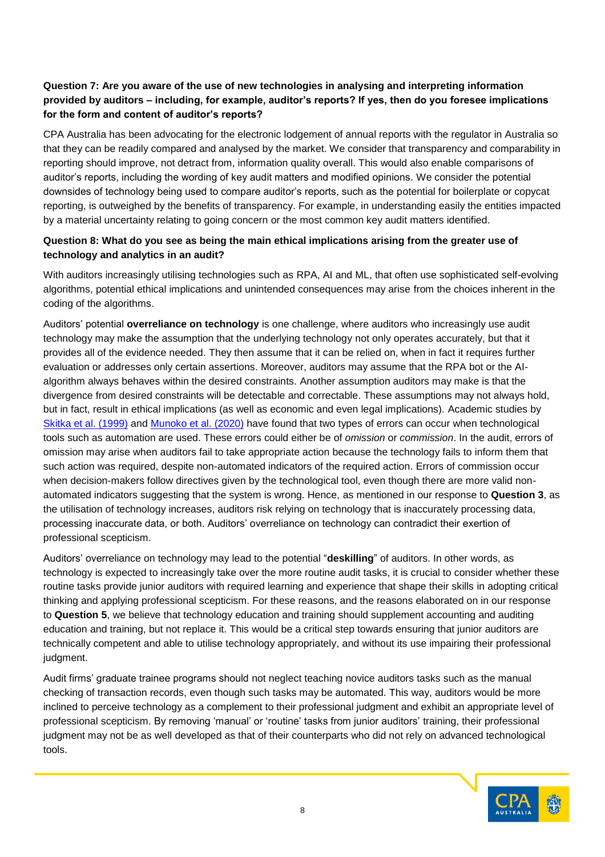# **Question 7: Are you aware of the use of new technologies in analysing and interpreting information provided by auditors – including, for example, auditor's reports? If yes, then do you foresee implications for the form and content of auditor's reports?**

CPA Australia has been advocating for the electronic lodgement of annual reports with the regulator in Australia so that they can be readily compared and analysed by the market. We consider that transparency and comparability in reporting should improve, not detract from, information quality overall. This would also enable comparisons of auditor's reports, including the wording of key audit matters and modified opinions. We consider the potential downsides of technology being used to compare auditor's reports, such as the potential for boilerplate or copycat reporting, is outweighed by the benefits of transparency. For example, in understanding easily the entities impacted by a material uncertainty relating to going concern or the most common key audit matters identified.

### **Question 8: What do you see as being the main ethical implications arising from the greater use of technology and analytics in an audit?**

With auditors increasingly utilising technologies such as RPA, AI and ML, that often use sophisticated self-evolving algorithms, potential ethical implications and unintended consequences may arise from the choices inherent in the coding of the algorithms.

Auditors' potential **overreliance on technology** is one challenge, where auditors who increasingly use audit technology may make the assumption that the underlying technology not only operates accurately, but that it provides all of the evidence needed. They then assume that it can be relied on, when in fact it requires further evaluation or addresses only certain assertions. Moreover, auditors may assume that the RPA bot or the AIalgorithm always behaves within the desired constraints. Another assumption auditors may make is that the divergence from desired constraints will be detectable and correctable. These assumptions may not always hold, but in fact, result in ethical implications (as well as economic and even legal implications). Academic studies by [Skitka et al. \(1999\)](https://www.sciencedirect.com/science/article/abs/pii/S1071581999902525) and [Munoko et al. \(2020\)](https://link.springer.com/article/10.1007/s10551-019-04407-1) have found that two types of errors can occur when technological tools such as automation are used. These errors could either be of *omission* or *commission*. In the audit, errors of omission may arise when auditors fail to take appropriate action because the technology fails to inform them that such action was required, despite non-automated indicators of the required action. Errors of commission occur when decision-makers follow directives given by the technological tool, even though there are more valid nonautomated indicators suggesting that the system is wrong. Hence, as mentioned in our response to **Question 3**, as the utilisation of technology increases, auditors risk relying on technology that is inaccurately processing data, processing inaccurate data, or both. Auditors' overreliance on technology can contradict their exertion of professional scepticism.

Auditors' overreliance on technology may lead to the potential "**deskilling**" of auditors. In other words, as technology is expected to increasingly take over the more routine audit tasks, it is crucial to consider whether these routine tasks provide junior auditors with required learning and experience that shape their skills in adopting critical thinking and applying professional scepticism. For these reasons, and the reasons elaborated on in our response to **Question 5**, we believe that technology education and training should supplement accounting and auditing education and training, but not replace it. This would be a critical step towards ensuring that junior auditors are technically competent and able to utilise technology appropriately, and without its use impairing their professional judgment.

Audit firms' graduate trainee programs should not neglect teaching novice auditors tasks such as the manual checking of transaction records, even though such tasks may be automated. This way, auditors would be more inclined to perceive technology as a complement to their professional judgment and exhibit an appropriate level of professional scepticism. By removing 'manual' or 'routine' tasks from junior auditors' training, their professional judgment may not be as well developed as that of their counterparts who did not rely on advanced technological tools.

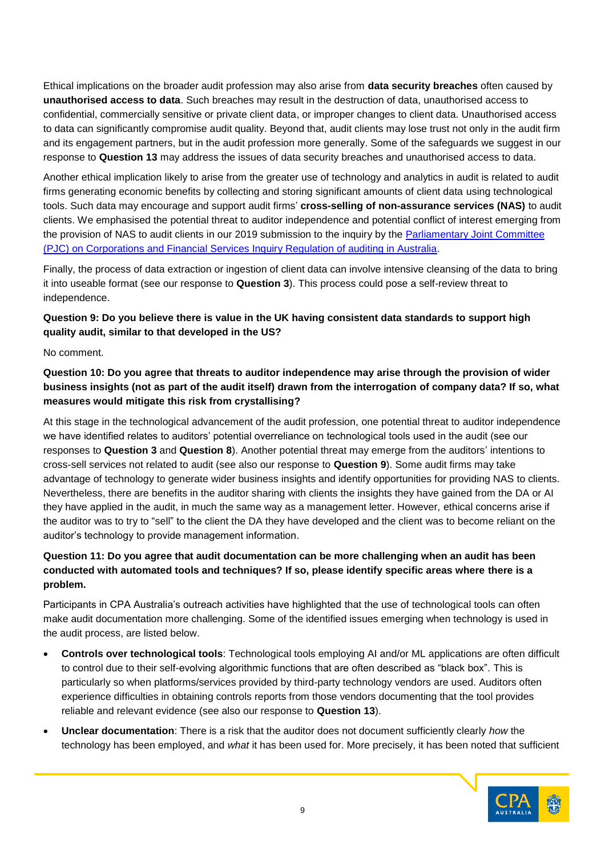Ethical implications on the broader audit profession may also arise from **data security breaches** often caused by **unauthorised access to data**. Such breaches may result in the destruction of data, unauthorised access to confidential, commercially sensitive or private client data, or improper changes to client data. Unauthorised access to data can significantly compromise audit quality. Beyond that, audit clients may lose trust not only in the audit firm and its engagement partners, but in the audit profession more generally. Some of the safeguards we suggest in our response to **Question 13** may address the issues of data security breaches and unauthorised access to data.

Another ethical implication likely to arise from the greater use of technology and analytics in audit is related to audit firms generating economic benefits by collecting and storing significant amounts of client data using technological tools. Such data may encourage and support audit firms' **cross-selling of non-assurance services (NAS)** to audit clients. We emphasised the potential threat to auditor independence and potential conflict of interest emerging from the provision of NAS to audit clients in our 2019 submission to the inquiry by the [Parliamentary Joint Committee](https://www.cpaaustralia.com.au/-/media/corporate/allfiles/document/media/submissions/audit-assurance/pjc-inquiry-regulation-auditing.pdf?la=en&rev=8234ce7191ed4b21bd276bf54b45f0cf)  [\(PJC\) on Corporations and Financial Services Inquiry Regulation of auditing in Australia.](https://www.cpaaustralia.com.au/-/media/corporate/allfiles/document/media/submissions/audit-assurance/pjc-inquiry-regulation-auditing.pdf?la=en&rev=8234ce7191ed4b21bd276bf54b45f0cf)

Finally, the process of data extraction or ingestion of client data can involve intensive cleansing of the data to bring it into useable format (see our response to **Question 3**). This process could pose a self-review threat to independence.

# **Question 9: Do you believe there is value in the UK having consistent data standards to support high quality audit, similar to that developed in the US?**

No comment.

**Question 10: Do you agree that threats to auditor independence may arise through the provision of wider business insights (not as part of the audit itself) drawn from the interrogation of company data? If so, what measures would mitigate this risk from crystallising?**

At this stage in the technological advancement of the audit profession, one potential threat to auditor independence we have identified relates to auditors' potential overreliance on technological tools used in the audit (see our responses to **Question 3** and **Question 8**). Another potential threat may emerge from the auditors' intentions to cross-sell services not related to audit (see also our response to **Question 9**). Some audit firms may take advantage of technology to generate wider business insights and identify opportunities for providing NAS to clients. Nevertheless, there are benefits in the auditor sharing with clients the insights they have gained from the DA or AI they have applied in the audit, in much the same way as a management letter. However, ethical concerns arise if the auditor was to try to "sell" to the client the DA they have developed and the client was to become reliant on the auditor's technology to provide management information.

# **Question 11: Do you agree that audit documentation can be more challenging when an audit has been conducted with automated tools and techniques? If so, please identify specific areas where there is a problem.**

Participants in CPA Australia's outreach activities have highlighted that the use of technological tools can often make audit documentation more challenging. Some of the identified issues emerging when technology is used in the audit process, are listed below.

- **Controls over technological tools**: Technological tools employing AI and/or ML applications are often difficult to control due to their self-evolving algorithmic functions that are often described as "black box". This is particularly so when platforms/services provided by third-party technology vendors are used. Auditors often experience difficulties in obtaining controls reports from those vendors documenting that the tool provides reliable and relevant evidence (see also our response to **Question 13**).
- **Unclear documentation**: There is a risk that the auditor does not document sufficiently clearly *how* the technology has been employed, and *what* it has been used for. More precisely, it has been noted that sufficient

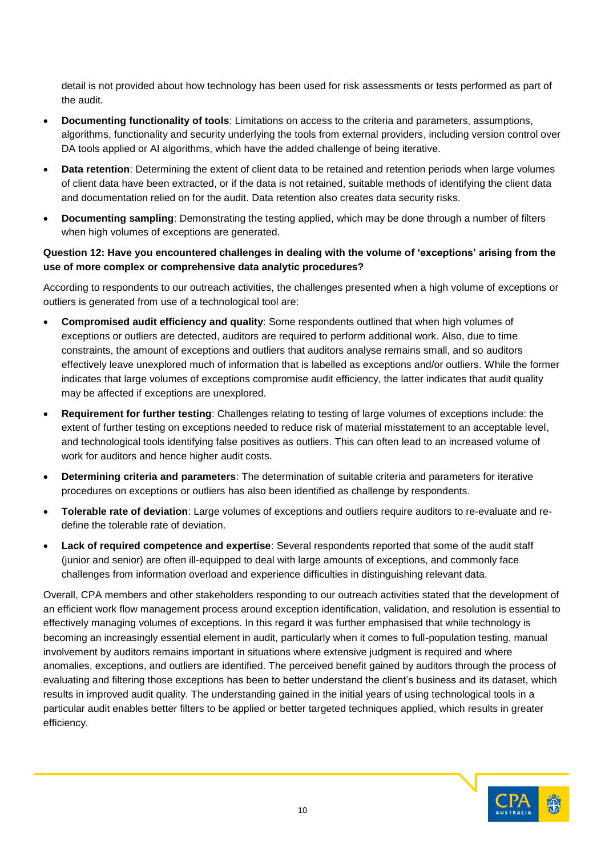detail is not provided about how technology has been used for risk assessments or tests performed as part of the audit.

- **Documenting functionality of tools**: Limitations on access to the criteria and parameters, assumptions, algorithms, functionality and security underlying the tools from external providers, including version control over DA tools applied or AI algorithms, which have the added challenge of being iterative.
- **Data retention**: Determining the extent of client data to be retained and retention periods when large volumes of client data have been extracted, or if the data is not retained, suitable methods of identifying the client data and documentation relied on for the audit. Data retention also creates data security risks.
- **Documenting sampling**: Demonstrating the testing applied, which may be done through a number of filters when high volumes of exceptions are generated.

### **Question 12: Have you encountered challenges in dealing with the volume of 'exceptions' arising from the use of more complex or comprehensive data analytic procedures?**

According to respondents to our outreach activities, the challenges presented when a high volume of exceptions or outliers is generated from use of a technological tool are:

- **Compromised audit efficiency and quality**: Some respondents outlined that when high volumes of exceptions or outliers are detected, auditors are required to perform additional work. Also, due to time constraints, the amount of exceptions and outliers that auditors analyse remains small, and so auditors effectively leave unexplored much of information that is labelled as exceptions and/or outliers. While the former indicates that large volumes of exceptions compromise audit efficiency, the latter indicates that audit quality may be affected if exceptions are unexplored.
- **Requirement for further testing**: Challenges relating to testing of large volumes of exceptions include: the extent of further testing on exceptions needed to reduce risk of material misstatement to an acceptable level, and technological tools identifying false positives as outliers. This can often lead to an increased volume of work for auditors and hence higher audit costs.
- **Determining criteria and parameters**: The determination of suitable criteria and parameters for iterative procedures on exceptions or outliers has also been identified as challenge by respondents.
- **Tolerable rate of deviation**: Large volumes of exceptions and outliers require auditors to re-evaluate and redefine the tolerable rate of deviation.
- **Lack of required competence and expertise**: Several respondents reported that some of the audit staff (junior and senior) are often ill-equipped to deal with large amounts of exceptions, and commonly face challenges from information overload and experience difficulties in distinguishing relevant data.

Overall, CPA members and other stakeholders responding to our outreach activities stated that the development of an efficient work flow management process around exception identification, validation, and resolution is essential to effectively managing volumes of exceptions. In this regard it was further emphasised that while technology is becoming an increasingly essential element in audit, particularly when it comes to full-population testing, manual involvement by auditors remains important in situations where extensive judgment is required and where anomalies, exceptions, and outliers are identified. The perceived benefit gained by auditors through the process of evaluating and filtering those exceptions has been to better understand the client's business and its dataset, which results in improved audit quality. The understanding gained in the initial years of using technological tools in a particular audit enables better filters to be applied or better targeted techniques applied, which results in greater efficiency.

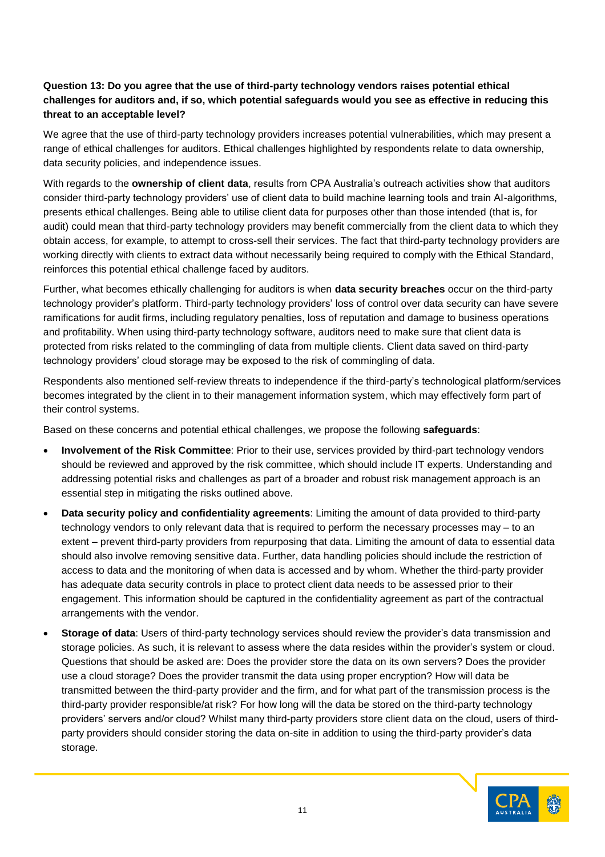# **Question 13: Do you agree that the use of third-party technology vendors raises potential ethical challenges for auditors and, if so, which potential safeguards would you see as effective in reducing this threat to an acceptable level?**

We agree that the use of third-party technology providers increases potential vulnerabilities, which may present a range of ethical challenges for auditors. Ethical challenges highlighted by respondents relate to data ownership, data security policies, and independence issues.

With regards to the **ownership of client data**, results from CPA Australia's outreach activities show that auditors consider third-party technology providers' use of client data to build machine learning tools and train AI-algorithms, presents ethical challenges. Being able to utilise client data for purposes other than those intended (that is, for audit) could mean that third-party technology providers may benefit commercially from the client data to which they obtain access, for example, to attempt to cross-sell their services. The fact that third-party technology providers are working directly with clients to extract data without necessarily being required to comply with the Ethical Standard, reinforces this potential ethical challenge faced by auditors.

Further, what becomes ethically challenging for auditors is when **data security breaches** occur on the third-party technology provider's platform. Third-party technology providers' loss of control over data security can have severe ramifications for audit firms, including regulatory penalties, loss of reputation and damage to business operations and profitability. When using third-party technology software, auditors need to make sure that client data is protected from risks related to the commingling of data from multiple clients. Client data saved on third-party technology providers' cloud storage may be exposed to the risk of commingling of data.

Respondents also mentioned self-review threats to independence if the third-party's technological platform/services becomes integrated by the client in to their management information system, which may effectively form part of their control systems.

Based on these concerns and potential ethical challenges, we propose the following **safeguards**:

- **Involvement of the Risk Committee**: Prior to their use, services provided by third-part technology vendors should be reviewed and approved by the risk committee, which should include IT experts. Understanding and addressing potential risks and challenges as part of a broader and robust risk management approach is an essential step in mitigating the risks outlined above.
- **Data security policy and confidentiality agreements**: Limiting the amount of data provided to third-party technology vendors to only relevant data that is required to perform the necessary processes may – to an extent – prevent third-party providers from repurposing that data. Limiting the amount of data to essential data should also involve removing sensitive data. Further, data handling policies should include the restriction of access to data and the monitoring of when data is accessed and by whom. Whether the third-party provider has adequate data security controls in place to protect client data needs to be assessed prior to their engagement. This information should be captured in the confidentiality agreement as part of the contractual arrangements with the vendor.
- **Storage of data**: Users of third-party technology services should review the provider's data transmission and storage policies. As such, it is relevant to assess where the data resides within the provider's system or cloud. Questions that should be asked are: Does the provider store the data on its own servers? Does the provider use a cloud storage? Does the provider transmit the data using proper encryption? How will data be transmitted between the third-party provider and the firm, and for what part of the transmission process is the third-party provider responsible/at risk? For how long will the data be stored on the third-party technology providers' servers and/or cloud? Whilst many third-party providers store client data on the cloud, users of thirdparty providers should consider storing the data on-site in addition to using the third-party provider's data storage.